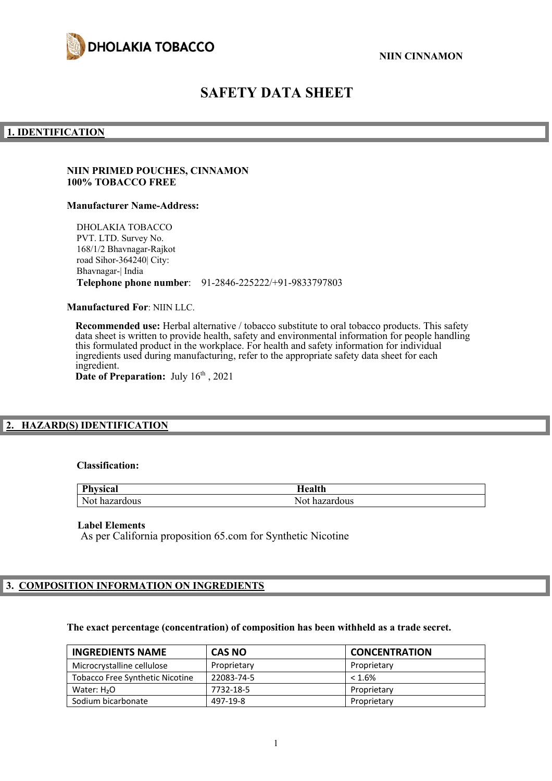



# **SAFETY DATA SHEET**

### **1. IDENTIFICATION**

### **NIIN PRIMED POUCHES, CINNAMON 100% TOBACCO FREE**

#### **Manufacturer Name-Address:**

DHOLAKIA TOBACCO PVT. LTD. Survey No. 168/1/2 Bhavnagar-Rajkot road Sihor-364240| City: Bhavnagar-| India **Telephone phone number**: 91-2846-225222/+91-9833797803

**Manufactured For**: NIIN LLC.

**Recommended use:** Herbal alternative / tobacco substitute to oral tobacco products. This safety data sheet is written to provide health, safety and environmental information for people handling this formulated product in the workplace. For health and safety information for individual ingredients used during manufacturing, refer to the appropriate safety data sheet for each ingredient. Date of Preparation: July  $16<sup>th</sup>$ , 2021

# **2. HAZARD(S) IDENTIFICATION**

#### **Classification:**

| <b>Physical</b> | Iealth        |
|-----------------|---------------|
| Not hazardous   | Not hazardous |

#### **Label Elements**

As per California proposition 65.com for Synthetic Nicotine

# **3. COMPOSITION INFORMATION ON INGREDIENTS**

#### **The exact percentage (concentration) of composition has been withheld as a trade secret.**

| <b>INGREDIENTS NAME</b>                | <b>CAS NO</b> | <b>CONCENTRATION</b> |
|----------------------------------------|---------------|----------------------|
| Microcrystalline cellulose             | Proprietary   | Proprietary          |
| <b>Tobacco Free Synthetic Nicotine</b> | 22083-74-5    | $< 1.6\%$            |
| Water: $H2O$                           | 7732-18-5     | Proprietary          |
| Sodium bicarbonate                     | 497-19-8      | Proprietary          |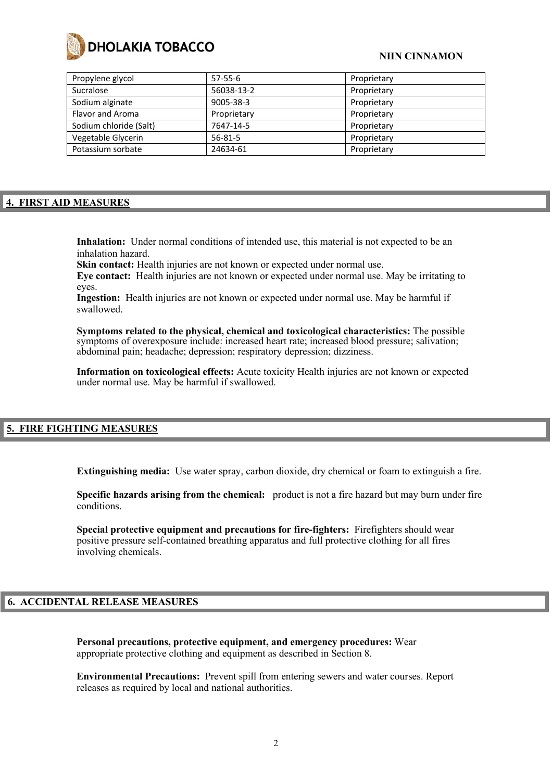

| $57-55-6$     | Proprietary |
|---------------|-------------|
| 56038-13-2    | Proprietary |
| 9005-38-3     | Proprietary |
| Proprietary   | Proprietary |
| 7647-14-5     | Proprietary |
| $56 - 81 - 5$ | Proprietary |
| 24634-61      | Proprietary |
|               |             |

# **4. FIRST AID MEASURES**

**Inhalation:** Under normal conditions of intended use, this material is not expected to be an inhalation hazard.

Skin contact: Health injuries are not known or expected under normal use.

**Eye contact:** Health injuries are not known or expected under normal use. May be irritating to eyes.

**Ingestion:** Health injuries are not known or expected under normal use. May be harmful if swallowed.

**Symptoms related to the physical, chemical and toxicological characteristics:** The possible symptoms of overexposure include: increased heart rate; increased blood pressure; salivation; abdominal pain; headache; depression; respiratory depression; dizziness.

**Information on toxicological effects:** Acute toxicity Health injuries are not known or expected under normal use. May be harmful if swallowed.

# **5. FIRE FIGHTING MEASURES**

**Extinguishing media:** Use water spray, carbon dioxide, dry chemical or foam to extinguish a fire.

**Specific hazards arising from the chemical:** product is not a fire hazard but may burn under fire conditions.

**Special protective equipment and precautions for fire-fighters:** Firefighters should wear positive pressure self-contained breathing apparatus and full protective clothing for all fires involving chemicals.

#### **6. ACCIDENTAL RELEASE MEASURES**

**Personal precautions, protective equipment, and emergency procedures:** Wear appropriate protective clothing and equipment as described in Section 8.

**Environmental Precautions:** Prevent spill from entering sewers and water courses. Report releases as required by local and national authorities.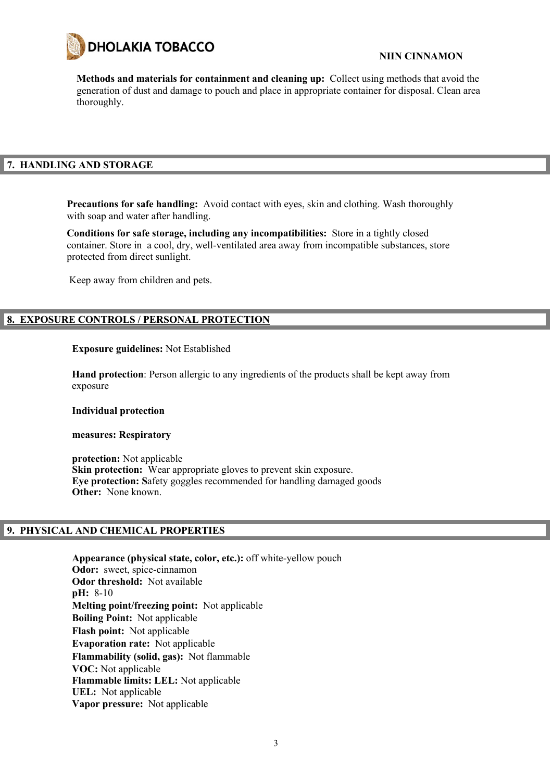

**Methods and materials for containment and cleaning up:** Collect using methods that avoid the generation of dust and damage to pouch and place in appropriate container for disposal. Clean area thoroughly.

# **7. HANDLING AND STORAGE**

**Precautions for safe handling:** Avoid contact with eyes, skin and clothing. Wash thoroughly with soap and water after handling.

**Conditions for safe storage, including any incompatibilities:** Store in a tightly closed container. Store in a cool, dry, well-ventilated area away from incompatible substances, store protected from direct sunlight.

Keep away from children and pets.

# **8. EXPOSURE CONTROLS / PERSONAL PROTECTION**

### **Exposure guidelines:** Not Established

**Hand protection**: Person allergic to any ingredients of the products shall be kept away from exposure

#### **Individual protection**

#### **measures: Respiratory**

**protection:** Not applicable **Skin protection:** Wear appropriate gloves to prevent skin exposure. **Eye protection: S**afety goggles recommended for handling damaged goods **Other:** None known.

# **9. PHYSICAL AND CHEMICAL PROPERTIES**

**Appearance (physical state, color, etc.):** off white-yellow pouch **Odor:** sweet, spice-cinnamon **Odor threshold:** Not available **pH:** 8-10 **Melting point/freezing point:** Not applicable **Boiling Point:** Not applicable **Flash point:** Not applicable **Evaporation rate:** Not applicable **Flammability (solid, gas):** Not flammable **VOC:** Not applicable **Flammable limits: LEL:** Not applicable **UEL:** Not applicable **Vapor pressure:** Not applicable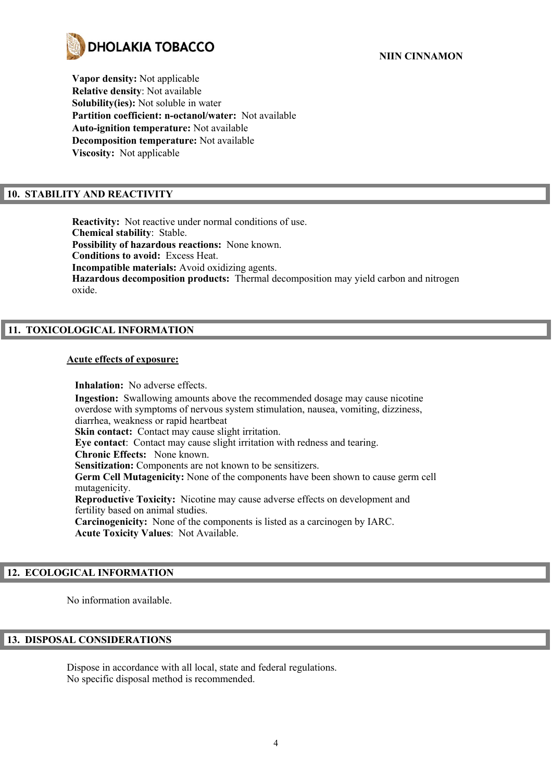

**Vapor density:** Not applicable **Relative density**: Not available **Solubility(ies):** Not soluble in water **Partition coefficient: n-octanol/water:** Not available **Auto-ignition temperature:** Not available **Decomposition temperature:** Not available **Viscosity:** Not applicable

# **10. STABILITY AND REACTIVITY**

**Reactivity:** Not reactive under normal conditions of use. **Chemical stability**: Stable. **Possibility of hazardous reactions:** None known. **Conditions to avoid:** Excess Heat. **Incompatible materials:** Avoid oxidizing agents. **Hazardous decomposition products:** Thermal decomposition may yield carbon and nitrogen oxide.

# **11. TOXICOLOGICAL INFORMATION**

### **Acute effects of exposure:**

**Inhalation:** No adverse effects. **Ingestion:** Swallowing amounts above the recommended dosage may cause nicotine overdose with symptoms of nervous system stimulation, nausea, vomiting, dizziness, diarrhea, weakness or rapid heartbeat **Skin contact:** Contact may cause slight irritation. **Eye contact**: Contact may cause slight irritation with redness and tearing. **Chronic Effects:** None known. **Sensitization:** Components are not known to be sensitizers. **Germ Cell Mutagenicity:** None of the components have been shown to cause germ cell mutagenicity. **Reproductive Toxicity:** Nicotine may cause adverse effects on development and fertility based on animal studies. **Carcinogenicity:** None of the components is listed as a carcinogen by IARC. **Acute Toxicity Values**: Not Available.

# **12. ECOLOGICAL INFORMATION**

No information available.

# **13. DISPOSAL CONSIDERATIONS**

Dispose in accordance with all local, state and federal regulations. No specific disposal method is recommended.